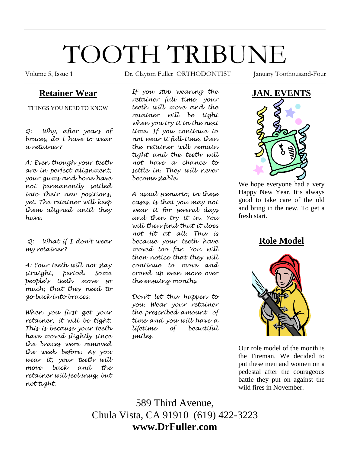# TOOTH TRIBUNE

Volume 5, Issue 1 **Dr.** Clayton Fuller ORTHODONTIST January Toothousand-Four

## **Retainer Wear**

THINGS YOU NEED TO KNOW

*Q: Why, after years of braces, do I have to wear a retainer?* 

*A: Even though your teeth are in perfect alignment, your gums and bone have not permanently settled into their new positions, yet. The retainer will keep them aligned until they have.* 

 *Q: What if I don't wear my retainer?* 

*A: Your teeth will not stay straight, period. Some people's teeth move so much, that they need to go back into braces.* 

*When you first get your retainer, it will be tight. This is because your teeth have moved slightly since the braces were removed the week before. As you wear it, your teeth will move back and the retainer will feel snug, but not tight.* 

*If you stop wearing the retainer full time, your teeth will move and the retainer will be tight when you try it in the next time. If you continue to not wear it full-time, then the retainer will remain tight and the teeth will not have a chance to settle in. They will never become stable.* 

*A usual scenario, in these cases, is that you may not wear it for several days and then try it in. You will then find that it does not fit at all. This is because your teeth have moved too far. You will then notice that they will continue to move and crowd up even more over the ensuing months.* 

*Don't let this happen to you. Wear your retainer the prescribed amount of time and you will have a lifetime of beautiful smiles.* 



We hope everyone had a very Happy New Year. It's always good to take care of the old and bring in the new. To get a fresh start.

**Role Model**



Our role model of the month is the Fireman. We decided to put these men and women on a pedestal after the courageous battle they put on against the wild fires in November.

589 Third Avenue, Chula Vista, CA 91910 (619) 422-3223 **www.DrFuller.com**